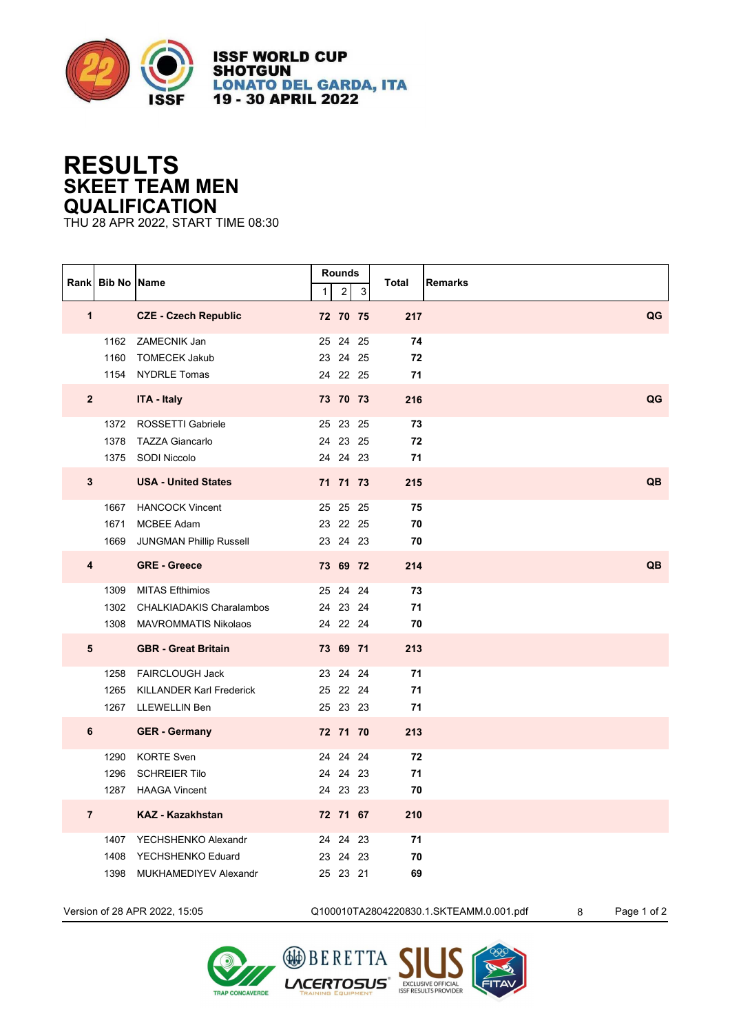

**ISSF WORLD CUP SHOTGUN LONATO DEL GARDA, ITA** 19 - 30 APRIL 2022

## **RESULTS SKEET TEAM MEN QUALIFICATION**

THU 28 APR 2022, START TIME 08:30

|                | Rank Bib No Name |                                                                                    | $\mathbf{1}$ | Rounds<br>$\sqrt{2}$             | $\mathsf 3$ | Total<br><b>Remarks</b> |           |
|----------------|------------------|------------------------------------------------------------------------------------|--------------|----------------------------------|-------------|-------------------------|-----------|
| $\mathbf{1}$   |                  | <b>CZE - Czech Republic</b>                                                        |              | 72 70 75                         |             | 217                     | QG        |
|                |                  | 1162 ZAMECNIK Jan<br>1160 TOMECEK Jakub<br>1154 NYDRLE Tomas                       |              | 25 24 25<br>23 24 25<br>24 22 25 |             | 74<br>72<br>71          |           |
| $\mathbf{2}$   |                  | <b>ITA - Italy</b>                                                                 |              | 73 70 73                         |             | 216                     | QG        |
|                |                  | 1372 ROSSETTI Gabriele<br>1378 TAZZA Giancarlo<br>1375 SODI Niccolo                |              | 25 23 25<br>24 23 25<br>24 24 23 |             | 73<br>72<br>71          |           |
| $\mathbf{3}$   |                  | <b>USA - United States</b>                                                         |              | 71 71 73                         |             | 215                     | <b>QB</b> |
|                | 1671<br>1669     | 1667 HANCOCK Vincent<br>MCBEE Adam<br><b>JUNGMAN Phillip Russell</b>               |              | 25 25 25<br>23 22 25<br>23 24 23 |             | 75<br>70<br>70          |           |
| 4              |                  | <b>GRE - Greece</b>                                                                |              | 73 69 72                         |             | 214                     | QB        |
|                |                  | 1309 MITAS Efthimios<br>1302 CHALKIADAKIS Charalambos<br>1308 MAVROMMATIS Nikolaos |              | 25 24 24<br>24 23 24<br>24 22 24 |             | 73<br>71<br>70          |           |
| 5              |                  | <b>GBR</b> - Great Britain                                                         |              | 73 69 71                         |             | 213                     |           |
|                | 1265             | 1258 FAIRCLOUGH Jack<br><b>KILLANDER Karl Frederick</b><br>1267 LLEWELLIN Ben      |              | 23 24 24<br>25 22 24<br>25 23 23 |             | 71<br>71<br>71          |           |
| 6              |                  | <b>GER</b> - Germany                                                               |              | 72 71 70                         |             | 213                     |           |
|                | 1290<br>1296     | KORTE Sven<br><b>SCHREIER Tilo</b><br>1287 HAAGA Vincent                           |              | 24 24 24<br>24 24 23<br>24 23 23 |             | 72<br>71<br>70          |           |
| $\overline{7}$ |                  | <b>KAZ - Kazakhstan</b>                                                            |              | 72 71 67                         |             | 210                     |           |
|                | 1408<br>1398     | 1407 YECHSHENKO Alexandr<br>YECHSHENKO Eduard<br>MUKHAMEDIYEV Alexandr             |              | 24 24 23<br>23 24<br>25 23 21    | 23          | 71<br>70<br>69          |           |



Version of 28 APR 2022, 15:05 Q100010TA2804220830.1.SKTEAMM.0.001.pdf 8 Page 1 of 2